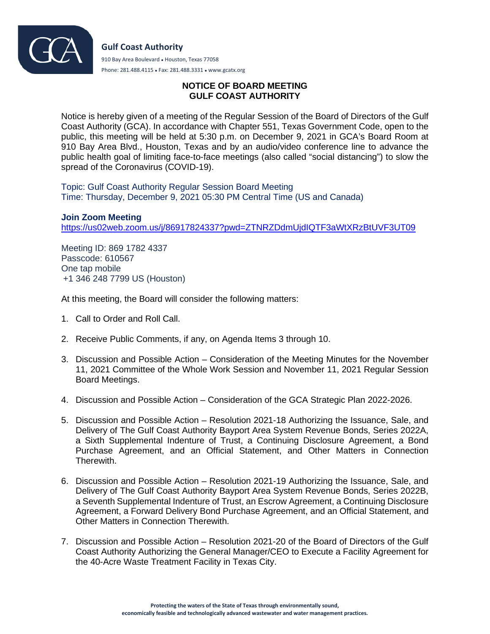

Phone: 281.488.4115 ● Fax: 281.488.3331 ● www.gcatx.org

## **NOTICE OF BOARD MEETING GULF COAST AUTHORITY**

Notice is hereby given of a meeting of the Regular Session of the Board of Directors of the Gulf Coast Authority (GCA). In accordance with Chapter 551, Texas Government Code, open to the public, this meeting will be held at 5:30 p.m. on December 9, 2021 in GCA's Board Room at 910 Bay Area Blvd., Houston, Texas and by an audio/video conference line to advance the public health goal of limiting face-to-face meetings (also called "social distancing") to slow the spread of the Coronavirus (COVID-19).

Topic: Gulf Coast Authority Regular Session Board Meeting Time: Thursday, December 9, 2021 05:30 PM Central Time (US and Canada)

**Join Zoom Meeting** <https://us02web.zoom.us/j/86917824337?pwd=ZTNRZDdmUjdIQTF3aWtXRzBtUVF3UT09>

Meeting ID: 869 1782 4337 Passcode: 610567 One tap mobile +1 346 248 7799 US (Houston)

At this meeting, the Board will consider the following matters:

- 1. Call to Order and Roll Call.
- 2. Receive Public Comments, if any, on Agenda Items 3 through 10.
- 3. Discussion and Possible Action Consideration of the Meeting Minutes for the November 11, 2021 Committee of the Whole Work Session and November 11, 2021 Regular Session Board Meetings.
- 4. Discussion and Possible Action Consideration of the GCA Strategic Plan 2022-2026.
- 5. Discussion and Possible Action Resolution 2021-18 Authorizing the Issuance, Sale, and Delivery of The Gulf Coast Authority Bayport Area System Revenue Bonds, Series 2022A, a Sixth Supplemental Indenture of Trust, a Continuing Disclosure Agreement, a Bond Purchase Agreement, and an Official Statement, and Other Matters in Connection Therewith.
- 6. Discussion and Possible Action Resolution 2021-19 Authorizing the Issuance, Sale, and Delivery of The Gulf Coast Authority Bayport Area System Revenue Bonds, Series 2022B, a Seventh Supplemental Indenture of Trust, an Escrow Agreement, a Continuing Disclosure Agreement, a Forward Delivery Bond Purchase Agreement, and an Official Statement, and Other Matters in Connection Therewith.
- 7. Discussion and Possible Action Resolution 2021-20 of the Board of Directors of the Gulf Coast Authority Authorizing the General Manager/CEO to Execute a Facility Agreement for the 40-Acre Waste Treatment Facility in Texas City.